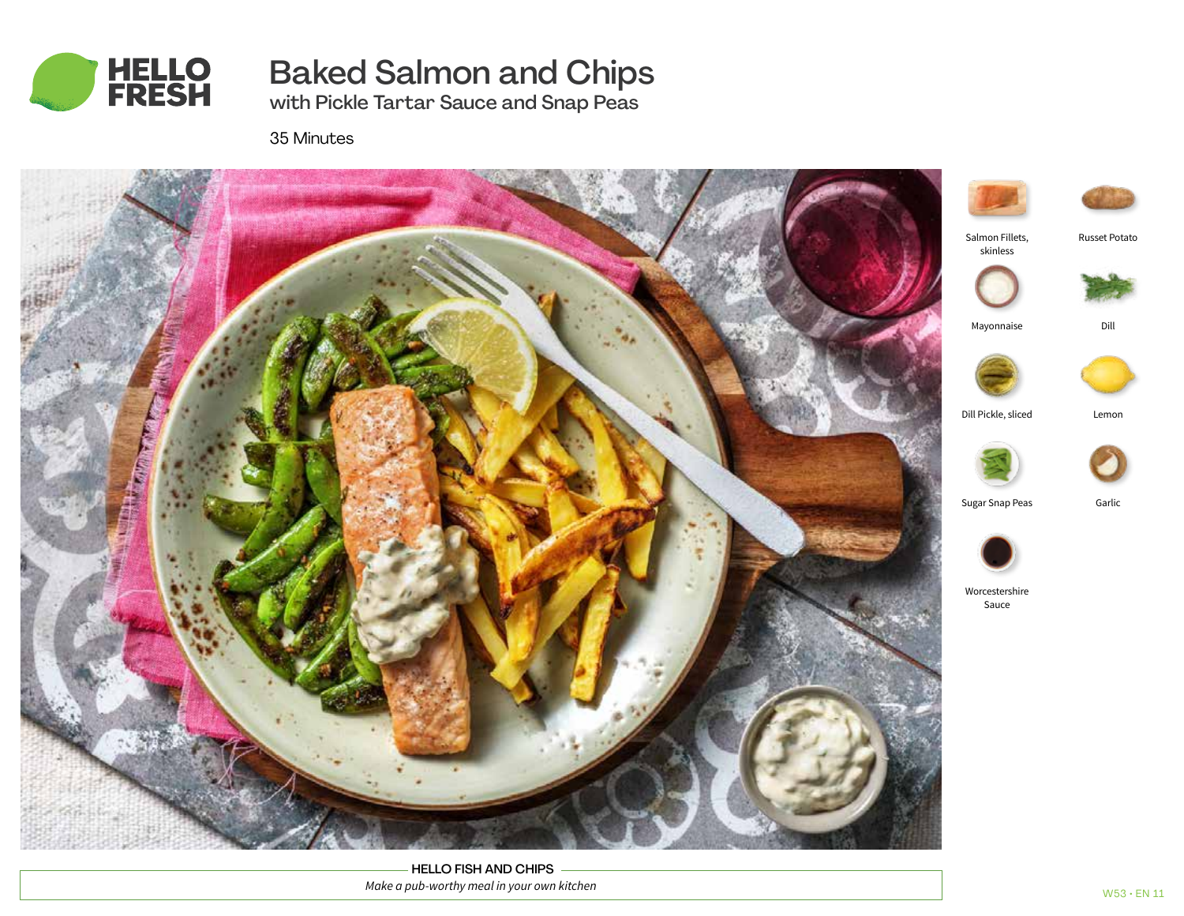

# Baked Salmon and Chips

with Pickle Tartar Sauce and Snap Peas

35 Minutes



HELLO FISH AND CHIPS *Make a pub-worthy meal in your own kitchen*